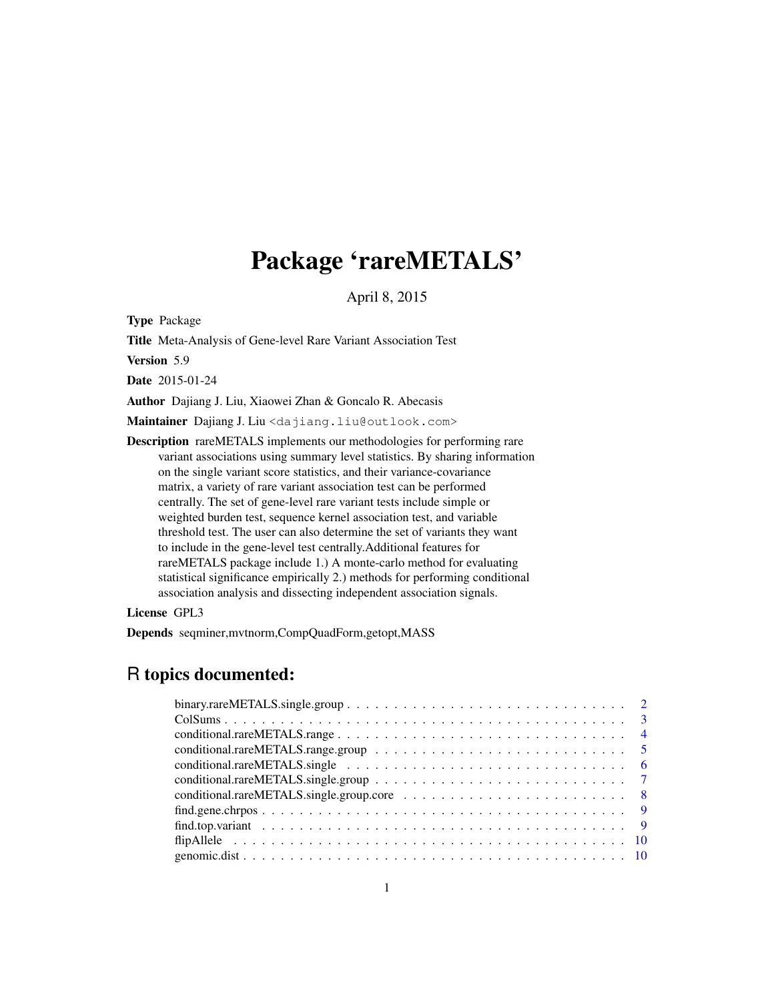# Package 'rareMETALS'

April 8, 2015

Type Package

Title Meta-Analysis of Gene-level Rare Variant Association Test

Version 5.9

Date 2015-01-24

Author Dajiang J. Liu, Xiaowei Zhan & Goncalo R. Abecasis

Maintainer Dajiang J. Liu <dajiang.liu@outlook.com>

Description rareMETALS implements our methodologies for performing rare variant associations using summary level statistics. By sharing information on the single variant score statistics, and their variance-covariance matrix, a variety of rare variant association test can be performed centrally. The set of gene-level rare variant tests include simple or weighted burden test, sequence kernel association test, and variable threshold test. The user can also determine the set of variants they want to include in the gene-level test centrally.Additional features for rareMETALS package include 1.) A monte-carlo method for evaluating statistical significance empirically 2.) methods for performing conditional association analysis and dissecting independent association signals.

License GPL3

Depends seqminer,mvtnorm,CompQuadForm,getopt,MASS

# R topics documented: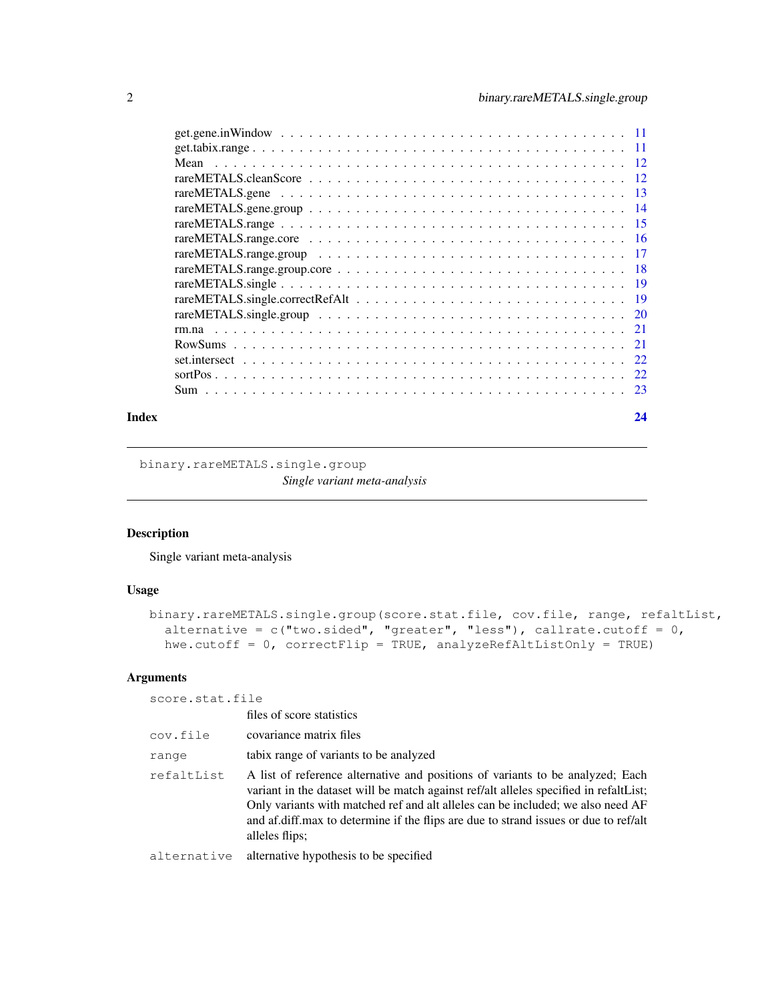<span id="page-1-0"></span>

| rm.na |     |
|-------|-----|
|       |     |
|       |     |
|       | 22  |
|       | -23 |
|       |     |

#### **Index** [24](#page-23-0)

binary.rareMETALS.single.group *Single variant meta-analysis*

## Description

Single variant meta-analysis

## Usage

```
binary.rareMETALS.single.group(score.stat.file, cov.file, range, refaltList,
  alternative = c("two-sided", "greater", "less"), callrate.cutoff = 0,hwe.cutoff = 0, correctFlip = TRUE, analyzeRefAltListOnly = TRUE)
```
#### Arguments

score.stat.file

|             | files of score statistics                                                                                                                                                                                                                                                                                                                                            |
|-------------|----------------------------------------------------------------------------------------------------------------------------------------------------------------------------------------------------------------------------------------------------------------------------------------------------------------------------------------------------------------------|
| cov.file    | covariance matrix files                                                                                                                                                                                                                                                                                                                                              |
| range       | tabix range of variants to be analyzed                                                                                                                                                                                                                                                                                                                               |
| refaltList  | A list of reference alternative and positions of variants to be analyzed; Each<br>variant in the dataset will be match against ref/alt alleles specified in refaltList;<br>Only variants with matched ref and alt alleles can be included; we also need AF<br>and af diff.max to determine if the flips are due to strand issues or due to ref/alt<br>alleles flips; |
| alternative | alternative hypothesis to be specified.                                                                                                                                                                                                                                                                                                                              |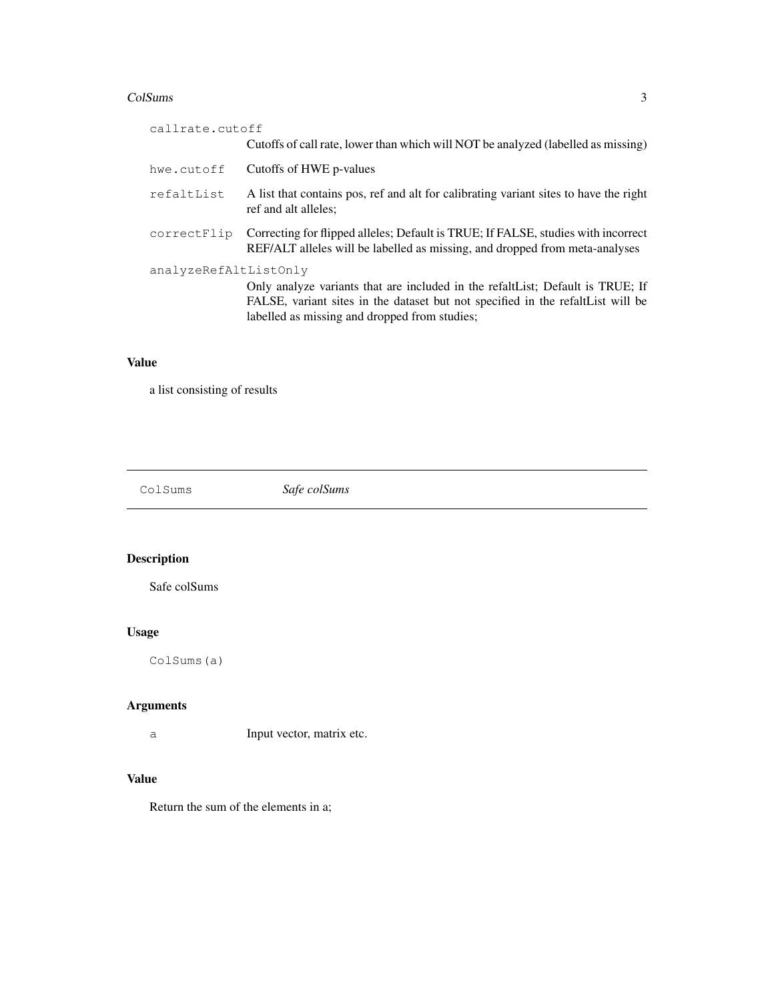#### <span id="page-2-0"></span>ColSums 3

| callrate.cutoff       |                                                                                                                                                                                                                     |
|-----------------------|---------------------------------------------------------------------------------------------------------------------------------------------------------------------------------------------------------------------|
|                       | Cutoffs of call rate, lower than which will NOT be analyzed (labelled as missing)                                                                                                                                   |
| hwe.cutoff            | Cutoffs of HWE p-values                                                                                                                                                                                             |
| refaltList            | A list that contains pos, ref and alt for calibrating variant sites to have the right<br>ref and alt alleles;                                                                                                       |
| correctFlip           | Correcting for flipped alleles; Default is TRUE; If FALSE, studies with incorrect<br>REF/ALT alleles will be labelled as missing, and dropped from meta-analyses                                                    |
| analyzeRefAltListOnly | Only analyze variants that are included in the refalt List; Default is TRUE; If<br>FALSE, variant sites in the dataset but not specified in the refaltList will be<br>labelled as missing and dropped from studies; |

## Value

a list consisting of results

ColSums *Safe colSums*

## Description

Safe colSums

## Usage

ColSums(a)

## Arguments

a Input vector, matrix etc.

## Value

Return the sum of the elements in a;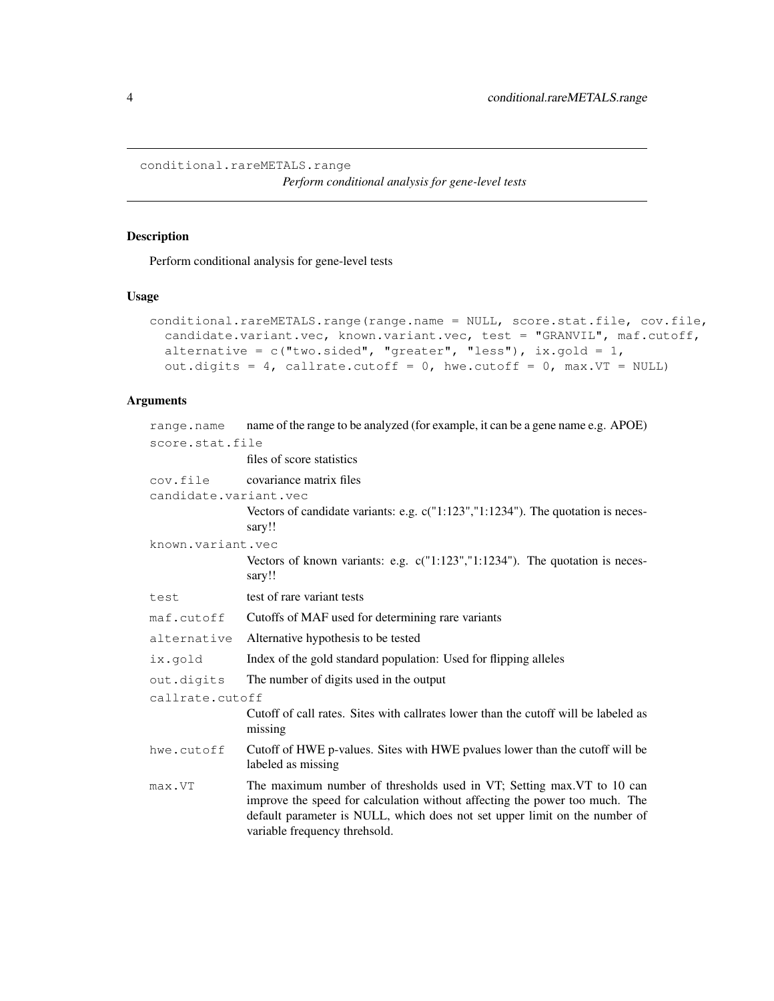<span id="page-3-0"></span>conditional.rareMETALS.range

*Perform conditional analysis for gene-level tests*

## Description

Perform conditional analysis for gene-level tests

#### Usage

```
conditional.rareMETALS.range(range.name = NULL, score.stat.file, cov.file,
  candidate.variant.vec, known.variant.vec, test = "GRANVIL", maf.cutoff,
  alternative = c("two-sided", "greater", "less"), ix.gold = 1,out.digits = 4, callrate.cutoff = 0, hwe.cutoff = 0, max.VT = NULL)
```
## Arguments

| range.name            | name of the range to be analyzed (for example, it can be a gene name e.g. APOE)                                                                                                                                                                                      |  |
|-----------------------|----------------------------------------------------------------------------------------------------------------------------------------------------------------------------------------------------------------------------------------------------------------------|--|
| score.stat.file       |                                                                                                                                                                                                                                                                      |  |
|                       | files of score statistics                                                                                                                                                                                                                                            |  |
| cov.file              | covariance matrix files                                                                                                                                                                                                                                              |  |
| candidate.variant.vec |                                                                                                                                                                                                                                                                      |  |
|                       | Vectors of candidate variants: e.g. c("1:123","1:1234"). The quotation is neces-<br>sary!!                                                                                                                                                                           |  |
| known.variant.vec     |                                                                                                                                                                                                                                                                      |  |
|                       | Vectors of known variants: e.g. $c("1:123", "1:1234").$ The quotation is neces-<br>sary!!                                                                                                                                                                            |  |
| test                  | test of rare variant tests                                                                                                                                                                                                                                           |  |
| maf.cutoff            | Cutoffs of MAF used for determining rare variants                                                                                                                                                                                                                    |  |
| alternative           | Alternative hypothesis to be tested                                                                                                                                                                                                                                  |  |
| ix.gold               | Index of the gold standard population: Used for flipping alleles                                                                                                                                                                                                     |  |
| out.digits            | The number of digits used in the output                                                                                                                                                                                                                              |  |
| callrate.cutoff       |                                                                                                                                                                                                                                                                      |  |
|                       | Cutoff of call rates. Sites with callrates lower than the cutoff will be labeled as<br>missing                                                                                                                                                                       |  |
| hwe.cutoff            | Cutoff of HWE p-values. Sites with HWE pvalues lower than the cutoff will be<br>labeled as missing                                                                                                                                                                   |  |
| max.VT                | The maximum number of thresholds used in VT; Setting max. VT to 10 can<br>improve the speed for calculation without affecting the power too much. The<br>default parameter is NULL, which does not set upper limit on the number of<br>variable frequency threhsold. |  |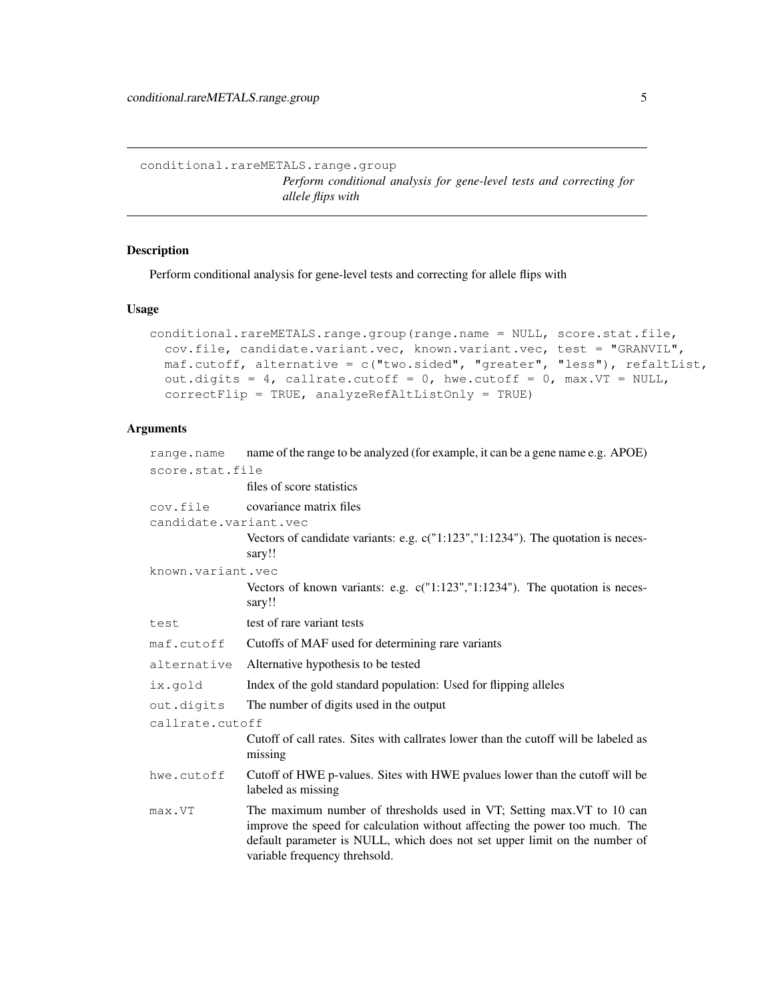<span id="page-4-0"></span>conditional.rareMETALS.range.group *Perform conditional analysis for gene-level tests and correcting for allele flips with*

## Description

Perform conditional analysis for gene-level tests and correcting for allele flips with

#### Usage

```
conditional.rareMETALS.range.group(range.name = NULL, score.stat.file,
  cov.file, candidate.variant.vec, known.variant.vec, test = "GRANVIL",
 maf.cutoff, alternative = c("two.sided", "greater", "less"), refaltList,
 out.digits = 4, callrate.cutoff = 0, hwe.cutoff = 0, max.VT = NULL,
  correctFlip = TRUE, analyzeRefAltListOnly = TRUE)
```
## Arguments

| range.name            | name of the range to be analyzed (for example, it can be a gene name e.g. APOE)                                                                                                                                                                                      |  |
|-----------------------|----------------------------------------------------------------------------------------------------------------------------------------------------------------------------------------------------------------------------------------------------------------------|--|
| score.stat.file       |                                                                                                                                                                                                                                                                      |  |
|                       | files of score statistics                                                                                                                                                                                                                                            |  |
| cov.file              | covariance matrix files                                                                                                                                                                                                                                              |  |
| candidate.variant.vec |                                                                                                                                                                                                                                                                      |  |
|                       | Vectors of candidate variants: e.g. c("1:123","1:1234"). The quotation is neces-<br>sary!!                                                                                                                                                                           |  |
| known.variant.vec     |                                                                                                                                                                                                                                                                      |  |
|                       | Vectors of known variants: e.g. $c("1:123", "1:1234").$ The quotation is neces-<br>sary!!                                                                                                                                                                            |  |
| test                  | test of rare variant tests                                                                                                                                                                                                                                           |  |
| maf.cutoff            | Cutoffs of MAF used for determining rare variants                                                                                                                                                                                                                    |  |
| alternative           | Alternative hypothesis to be tested                                                                                                                                                                                                                                  |  |
| ix.qold               | Index of the gold standard population: Used for flipping alleles                                                                                                                                                                                                     |  |
| out.digits            | The number of digits used in the output                                                                                                                                                                                                                              |  |
| callrate.cutoff       |                                                                                                                                                                                                                                                                      |  |
|                       | Cutoff of call rates. Sites with callrates lower than the cutoff will be labeled as<br>missing                                                                                                                                                                       |  |
| hwe.cutoff            | Cutoff of HWE p-values. Sites with HWE pvalues lower than the cutoff will be<br>labeled as missing                                                                                                                                                                   |  |
| max.VT                | The maximum number of thresholds used in VT; Setting max. VT to 10 can<br>improve the speed for calculation without affecting the power too much. The<br>default parameter is NULL, which does not set upper limit on the number of<br>variable frequency threhsold. |  |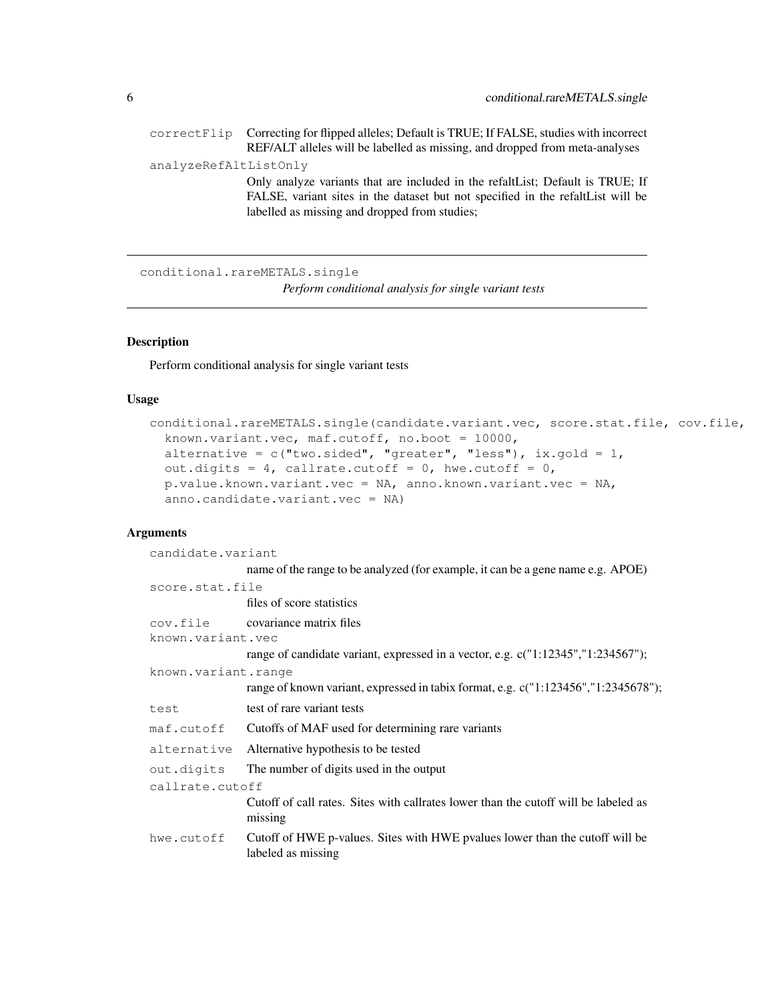<span id="page-5-0"></span>

|                       | correctFlip Correcting for flipped alleles; Default is TRUE; If FALSE, studies with incorrect                                                                                                                       |
|-----------------------|---------------------------------------------------------------------------------------------------------------------------------------------------------------------------------------------------------------------|
|                       | REF/ALT alleles will be labelled as missing, and dropped from meta-analyses                                                                                                                                         |
| analyzeRefAltListOnly |                                                                                                                                                                                                                     |
|                       | Only analyze variants that are included in the refalt List; Default is TRUE; If<br>FALSE, variant sites in the dataset but not specified in the refaltList will be<br>labelled as missing and dropped from studies; |

conditional.rareMETALS.single *Perform conditional analysis for single variant tests*

## Description

Perform conditional analysis for single variant tests

#### Usage

```
conditional.rareMETALS.single(candidate.variant.vec, score.stat.file, cov.file,
 known.variant.vec, maf.cutoff, no.boot = 10000,
 alternative = c("two-sided", "greater", "less"), ix.gold = 1,out.digits = 4, callrate.cutoff = 0, hwe.cutoff = 0,
  p.value.known.variant.vec = NA, anno.known.variant.vec = NA,
  anno.candidate.variant.vec = NA)
```
## Arguments

| candidate.variant   |                                                                                                    |  |
|---------------------|----------------------------------------------------------------------------------------------------|--|
|                     | name of the range to be analyzed (for example, it can be a gene name e.g. APOE)                    |  |
| score.stat.file     |                                                                                                    |  |
|                     | files of score statistics                                                                          |  |
|                     | cov.file covariance matrix files                                                                   |  |
| known.variant.vec   |                                                                                                    |  |
|                     | range of candidate variant, expressed in a vector, e.g. $c("1:12345", "1:234567");$                |  |
| known.variant.range |                                                                                                    |  |
|                     | range of known variant, expressed in tabix format, e.g. c("1:123456","1:2345678");                 |  |
| test                | test of rare variant tests                                                                         |  |
| maf.cutoff          | Cutoffs of MAF used for determining rare variants                                                  |  |
| alternative         | Alternative hypothesis to be tested                                                                |  |
| out.digits          | The number of digits used in the output                                                            |  |
| callrate.cutoff     |                                                                                                    |  |
|                     | Cutoff of call rates. Sites with callrates lower than the cutoff will be labeled as<br>missing     |  |
| hwe.cutoff          | Cutoff of HWE p-values. Sites with HWE pvalues lower than the cutoff will be<br>labeled as missing |  |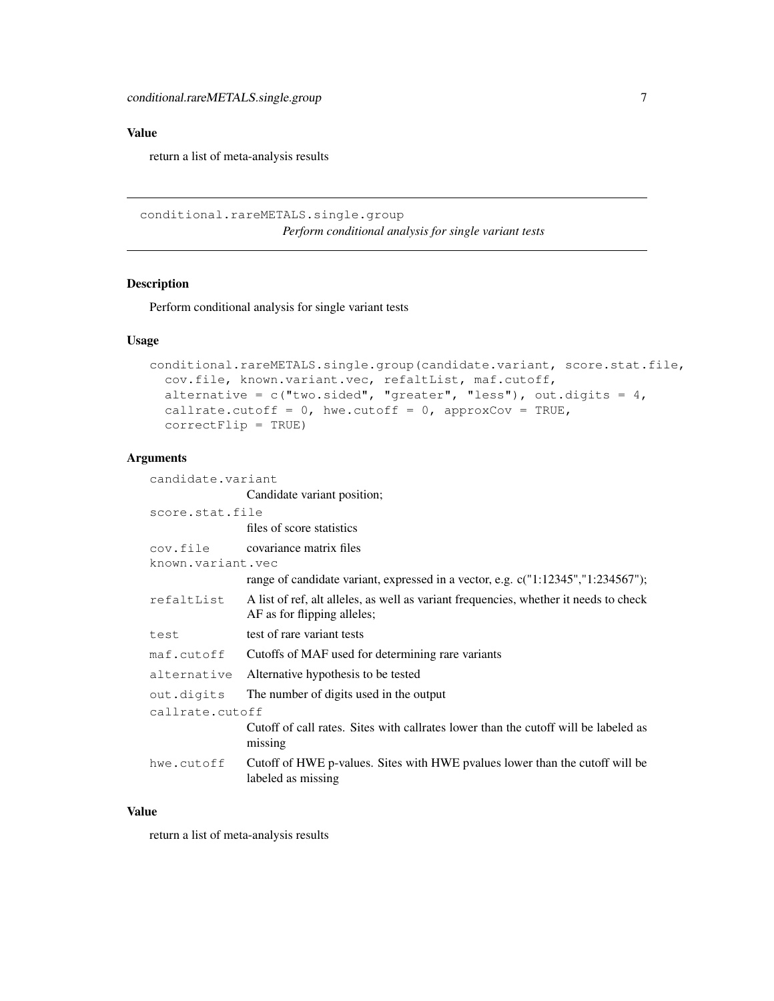#### <span id="page-6-0"></span>Value

return a list of meta-analysis results

conditional.rareMETALS.single.group *Perform conditional analysis for single variant tests*

#### Description

Perform conditional analysis for single variant tests

#### Usage

```
conditional.rareMETALS.single.group(candidate.variant, score.stat.file,
  cov.file, known.variant.vec, refaltList, maf.cutoff,
  alternative = c("two-sided", "greater", "less"), out.digits = 4,callrate.cutoff = 0, hwe.cutoff = 0, approxCov = TRUE,
  correctFlip = TRUE)
```
#### Arguments

candidate.variant Candidate variant position; score.stat.file files of score statistics cov.file covariance matrix files known.variant.vec range of candidate variant, expressed in a vector, e.g. c("1:12345","1:234567"); refaltList A list of ref, alt alleles, as well as variant frequencies, whether it needs to check AF as for flipping alleles; test test of rare variant tests maf.cutoff Cutoffs of MAF used for determining rare variants alternative Alternative hypothesis to be tested out.digits The number of digits used in the output callrate.cutoff Cutoff of call rates. Sites with callrates lower than the cutoff will be labeled as missing hwe.cutoff Cutoff of HWE p-values. Sites with HWE pvalues lower than the cutoff will be labeled as missing

#### Value

return a list of meta-analysis results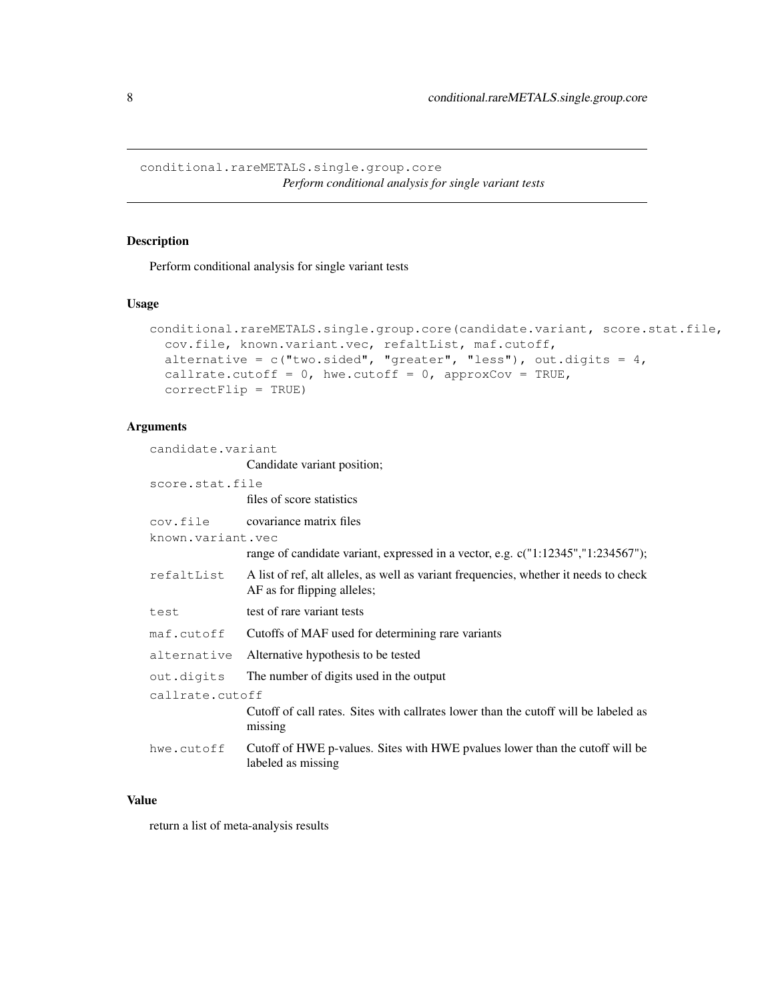<span id="page-7-0"></span>conditional.rareMETALS.single.group.core *Perform conditional analysis for single variant tests*

## Description

Perform conditional analysis for single variant tests

#### Usage

```
conditional.rareMETALS.single.group.core(candidate.variant, score.stat.file,
 cov.file, known.variant.vec, refaltList, maf.cutoff,
 alternative = c("two-sided", "greater", "less"), out.digits = 4,callrate.cutoff = 0, hwe.cutoff = 0, approxCov = TRUE,
 correctFlip = TRUE)
```
#### Arguments

| candidate.variant |                                                                                                                      |
|-------------------|----------------------------------------------------------------------------------------------------------------------|
|                   | Candidate variant position;                                                                                          |
| score.stat.file   |                                                                                                                      |
|                   | files of score statistics                                                                                            |
|                   | cov.file covariance matrix files                                                                                     |
| known.variant.vec |                                                                                                                      |
|                   | range of candidate variant, expressed in a vector, e.g. c("1:12345","1:234567");                                     |
| refaltList        | A list of ref, alt alleles, as well as variant frequencies, whether it needs to check<br>AF as for flipping alleles; |
| test              | test of rare variant tests                                                                                           |
| maf.cutoff        | Cutoffs of MAF used for determining rare variants                                                                    |
| alternative       | Alternative hypothesis to be tested                                                                                  |
| out.digits        | The number of digits used in the output                                                                              |
| callrate.cutoff   |                                                                                                                      |
|                   | Cutoff of call rates. Sites with callrates lower than the cutoff will be labeled as<br>missing                       |
| hwe.cutoff        | Cutoff of HWE p-values. Sites with HWE pvalues lower than the cutoff will be<br>labeled as missing                   |
|                   |                                                                                                                      |

#### Value

return a list of meta-analysis results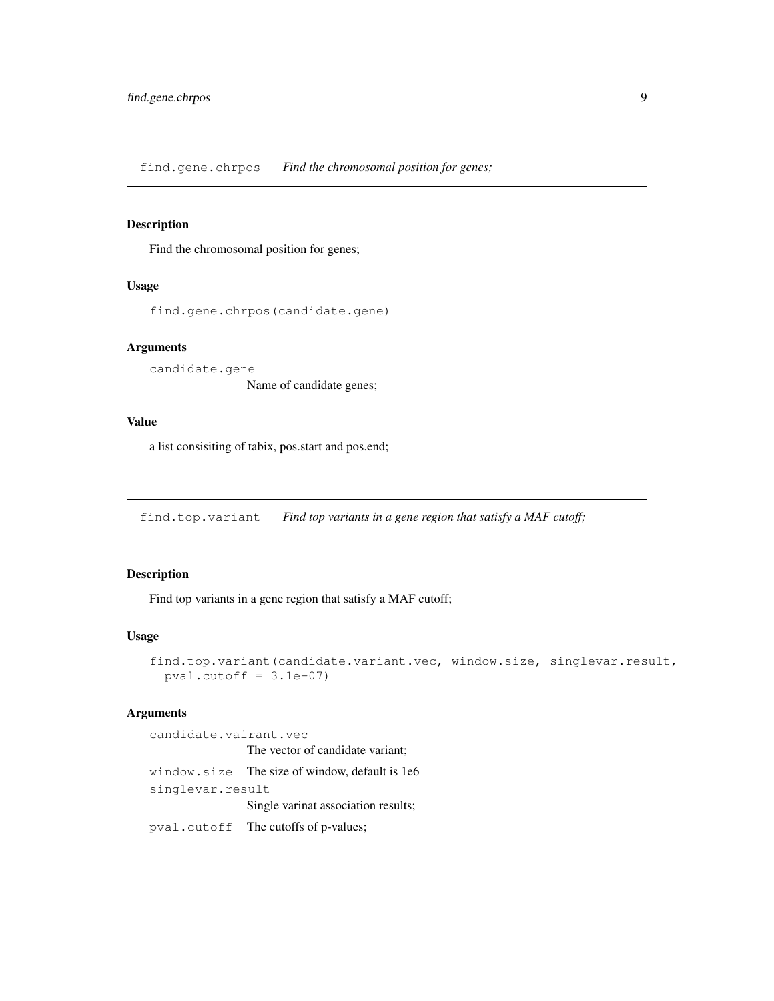<span id="page-8-0"></span>find.gene.chrpos *Find the chromosomal position for genes;*

#### Description

Find the chromosomal position for genes;

### Usage

find.gene.chrpos(candidate.gene)

#### Arguments

candidate.gene Name of candidate genes;

#### Value

a list consisiting of tabix, pos.start and pos.end;

find.top.variant *Find top variants in a gene region that satisfy a MAF cutoff;*

## Description

Find top variants in a gene region that satisfy a MAF cutoff;

#### Usage

```
find.top.variant(candidate.variant.vec, window.size, singlevar.result,
 pval.cutoff = 3.1e-07)
```
#### Arguments

candidate.vairant.vec The vector of candidate variant; window.size The size of window, default is 1e6 singlevar.result Single varinat association results; pval.cutoff The cutoffs of p-values;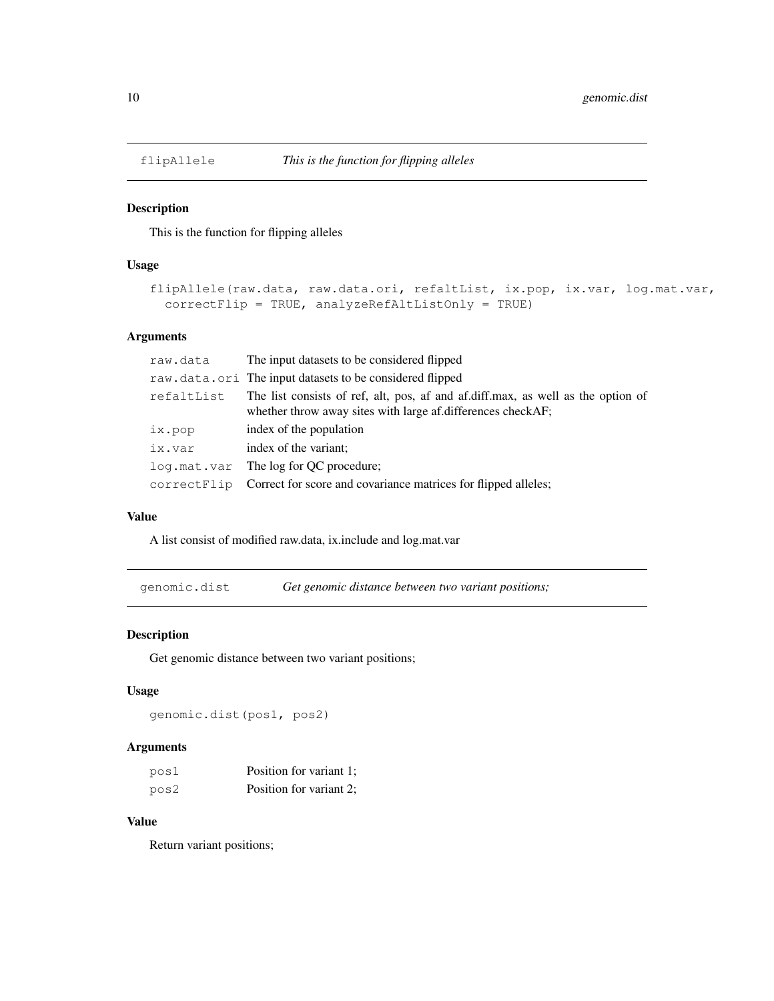<span id="page-9-0"></span>

## Description

This is the function for flipping alleles

## Usage

```
flipAllele(raw.data, raw.data.ori, refaltList, ix.pop, ix.var, log.mat.var,
 correctFlip = TRUE, analyzeRefAltListOnly = TRUE)
```
#### Arguments

| raw.data   | The input datasets to be considered flipped                                                                                                     |
|------------|-------------------------------------------------------------------------------------------------------------------------------------------------|
|            | raw.data.ori The input datasets to be considered flipped                                                                                        |
| refaltList | The list consists of ref, alt, pos, af and af.diff.max, as well as the option of<br>whether throw away sites with large af.differences checkAF; |
| ix.pop     | index of the population                                                                                                                         |
| ix.var     | index of the variant;                                                                                                                           |
|            | log.mat.var The log for QC procedure;                                                                                                           |
|            | correctFlip Correct for score and covariance matrices for flipped alleles;                                                                      |

#### Value

A list consist of modified raw.data, ix.include and log.mat.var

genomic.dist *Get genomic distance between two variant positions;*

#### Description

Get genomic distance between two variant positions;

#### Usage

genomic.dist(pos1, pos2)

## Arguments

| posl | Position for variant 1; |
|------|-------------------------|
| pos2 | Position for variant 2; |

## Value

Return variant positions;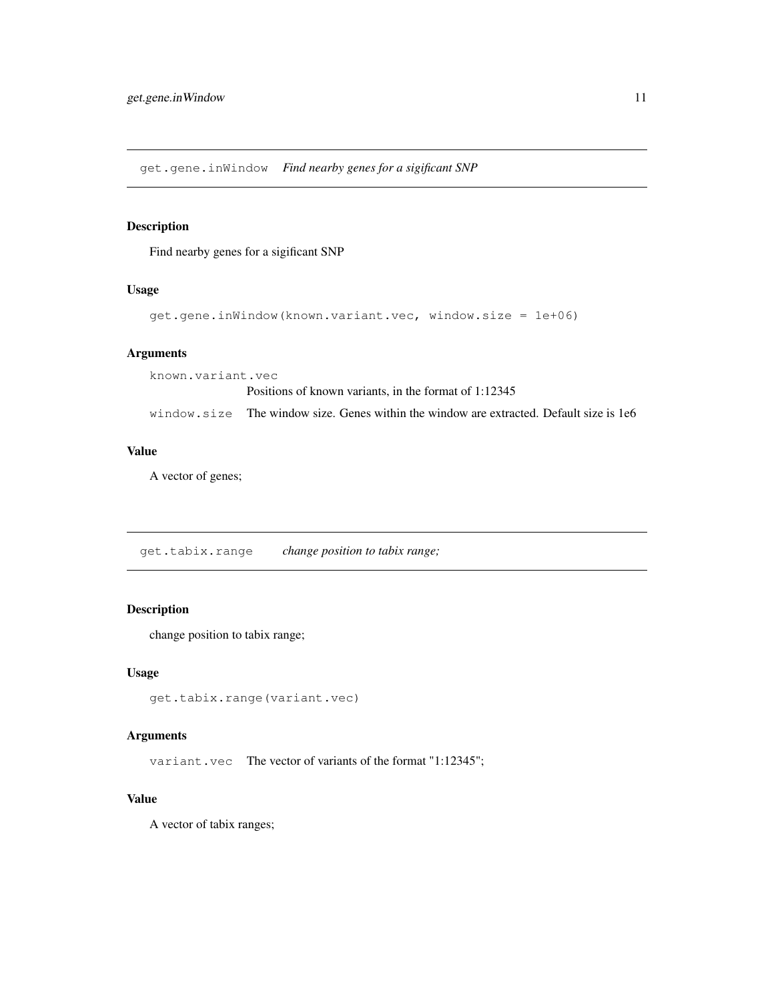<span id="page-10-0"></span>get.gene.inWindow *Find nearby genes for a sigificant SNP*

## Description

Find nearby genes for a sigificant SNP

#### Usage

```
get.gene.inWindow(known.variant.vec, window.size = 1e+06)
```
## Arguments

known.variant.vec

Positions of known variants, in the format of 1:12345

window.size The window size. Genes within the window are extracted. Default size is 1e6

#### Value

A vector of genes;

get.tabix.range *change position to tabix range;*

#### Description

change position to tabix range;

#### Usage

```
get.tabix.range(variant.vec)
```
#### Arguments

variant.vec The vector of variants of the format "1:12345";

## Value

A vector of tabix ranges;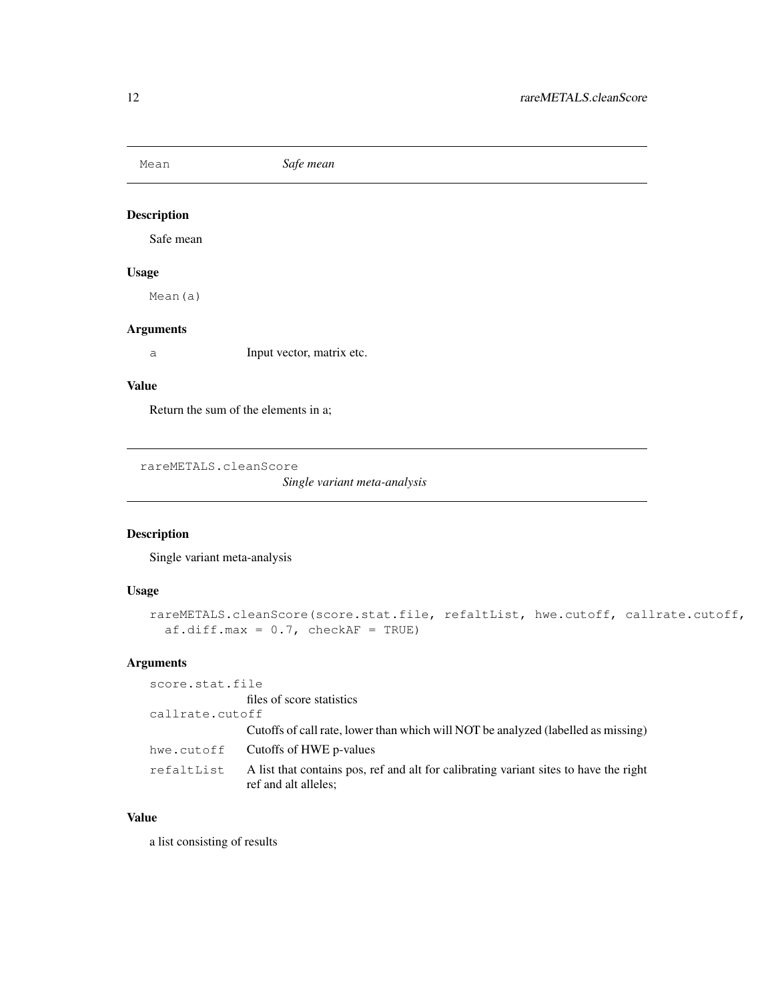<span id="page-11-0"></span>Mean *Safe mean*

## Description

Safe mean

## Usage

Mean(a)

## Arguments

a Input vector, matrix etc.

## Value

Return the sum of the elements in a;

rareMETALS.cleanScore

*Single variant meta-analysis*

## Description

Single variant meta-analysis

## Usage

```
rareMETALS.cleanScore(score.stat.file, refaltList, hwe.cutoff, callrate.cutoff,
  af.diff.max = 0.7, checkAF = TRUE)
```
## Arguments

| score.stat.file |                                                                                                               |
|-----------------|---------------------------------------------------------------------------------------------------------------|
|                 | files of score statistics                                                                                     |
| callrate.cutoff |                                                                                                               |
|                 | Cutoffs of call rate, lower than which will NOT be analyzed (labelled as missing)                             |
| hwe.cutoff      | Cutoffs of HWE p-values                                                                                       |
| refaltList      | A list that contains pos, ref and alt for calibrating variant sites to have the right<br>ref and alt alleles; |

### Value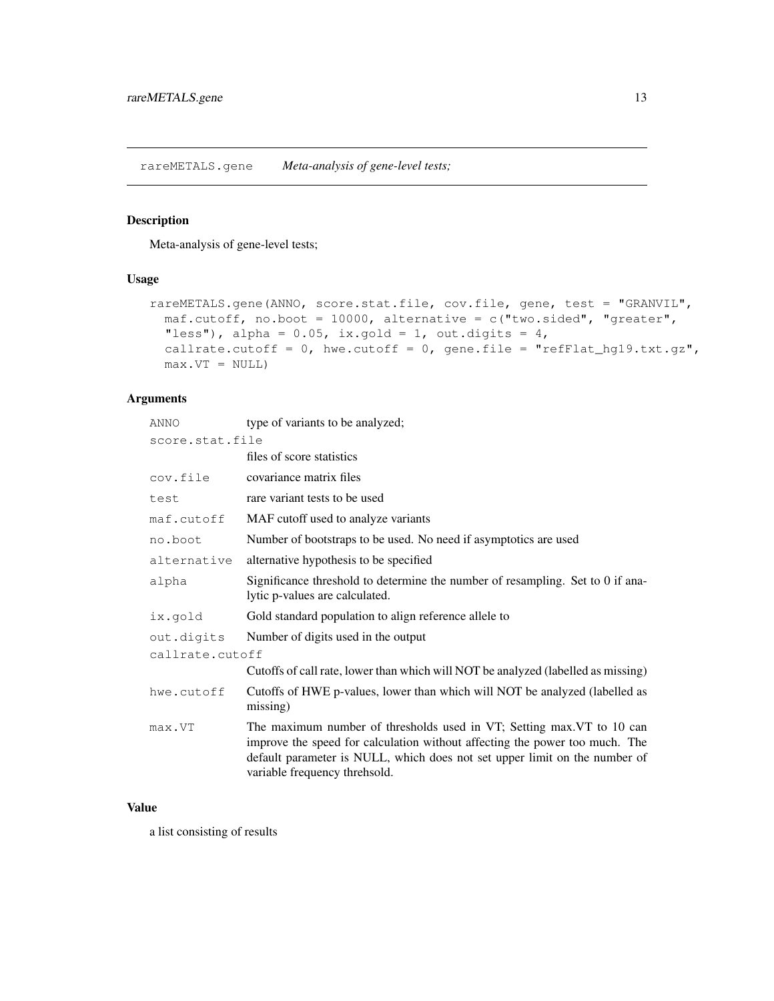<span id="page-12-0"></span>rareMETALS.gene *Meta-analysis of gene-level tests;*

## Description

Meta-analysis of gene-level tests;

## Usage

```
rareMETALS.gene(ANNO, score.stat.file, cov.file, gene, test = "GRANVIL",
 maf.cutoff, no.boot = 10000, alternative = c("two-sided", "greater","less"), alpha = 0.05, ix.gold = 1, out.digits = 4,
 callrate.cutoff = 0, hwe.cutoff = 0, gene.file = "refFlat_hg19.txt.gz",
 max.VT = NULL)
```
## Arguments

| ANNO            | type of variants to be analyzed;                                                                                                                                                                                                                                     |  |
|-----------------|----------------------------------------------------------------------------------------------------------------------------------------------------------------------------------------------------------------------------------------------------------------------|--|
| score.stat.file |                                                                                                                                                                                                                                                                      |  |
|                 | files of score statistics                                                                                                                                                                                                                                            |  |
| cov.file        | covariance matrix files                                                                                                                                                                                                                                              |  |
| test            | rare variant tests to be used                                                                                                                                                                                                                                        |  |
| maf.cutoff      | MAF cutoff used to analyze variants                                                                                                                                                                                                                                  |  |
| no.boot         | Number of bootstraps to be used. No need if asymptotics are used                                                                                                                                                                                                     |  |
| alternative     | alternative hypothesis to be specified                                                                                                                                                                                                                               |  |
| alpha           | Significance threshold to determine the number of resampling. Set to 0 if ana-<br>lytic p-values are calculated.                                                                                                                                                     |  |
| ix.gold         | Gold standard population to align reference allele to                                                                                                                                                                                                                |  |
| out.digits      | Number of digits used in the output                                                                                                                                                                                                                                  |  |
| callrate.cutoff |                                                                                                                                                                                                                                                                      |  |
|                 | Cutoffs of call rate, lower than which will NOT be analyzed (labelled as missing)                                                                                                                                                                                    |  |
| hwe.cutoff      | Cutoffs of HWE p-values, lower than which will NOT be analyzed (labelled as<br>missing)                                                                                                                                                                              |  |
| max.VT          | The maximum number of thresholds used in VT; Setting max. VT to 10 can<br>improve the speed for calculation without affecting the power too much. The<br>default parameter is NULL, which does not set upper limit on the number of<br>variable frequency threhsold. |  |

## Value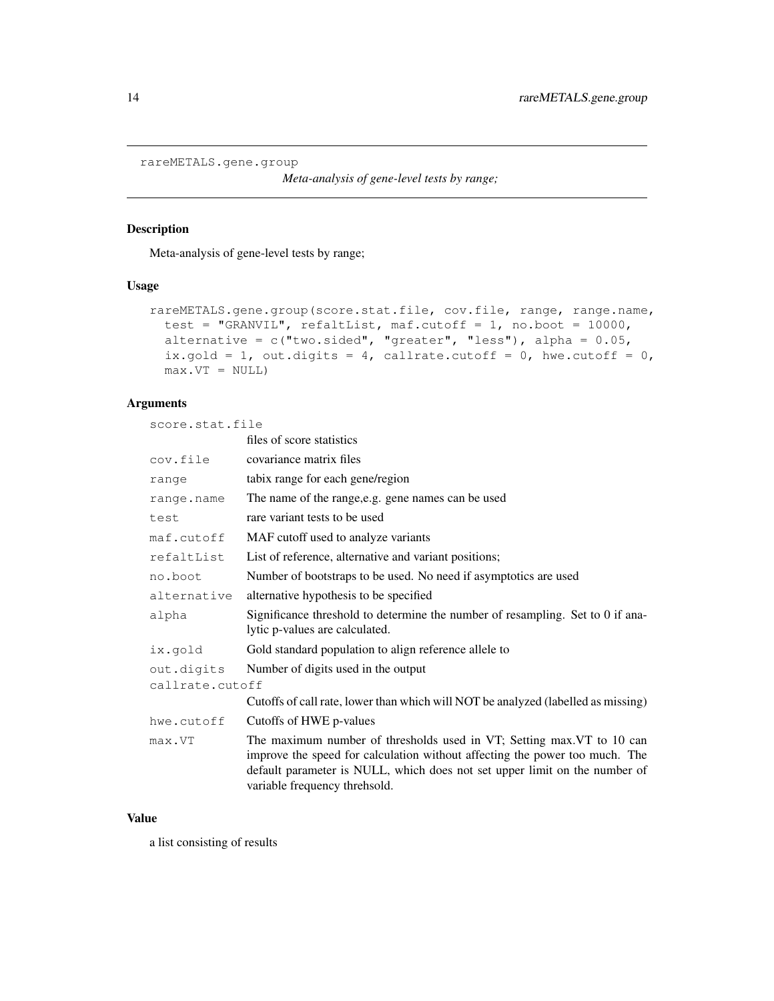```
rareMETALS.gene.group
```
*Meta-analysis of gene-level tests by range;*

## Description

Meta-analysis of gene-level tests by range;

#### Usage

```
rareMETALS.gene.group(score.stat.file, cov.file, range, range.name,
 test = "GRANVIL", refaltList, maf.cutoff = 1, no.boot = 10000,
 alternative = c("two-sided", "greater", "less"), alpha = 0.05,ix.gold = 1, out.digits = 4, callrate.cutoff = 0, hwe.cutoff = 0,
 max.VT = NULL)
```
## Arguments

score.stat.file

|                 | files of score statistics                                                                                                                                                                                                                                            |  |
|-----------------|----------------------------------------------------------------------------------------------------------------------------------------------------------------------------------------------------------------------------------------------------------------------|--|
| cov.file        | covariance matrix files                                                                                                                                                                                                                                              |  |
| range           | tabix range for each gene/region                                                                                                                                                                                                                                     |  |
| range.name      | The name of the range, e.g. gene names can be used                                                                                                                                                                                                                   |  |
| test            | rare variant tests to be used                                                                                                                                                                                                                                        |  |
| maf.cutoff      | MAF cutoff used to analyze variants                                                                                                                                                                                                                                  |  |
| refaltList      | List of reference, alternative and variant positions;                                                                                                                                                                                                                |  |
| no.boot         | Number of bootstraps to be used. No need if asymptotics are used                                                                                                                                                                                                     |  |
| alternative     | alternative hypothesis to be specified                                                                                                                                                                                                                               |  |
| alpha           | Significance threshold to determine the number of resampling. Set to 0 if ana-<br>lytic p-values are calculated.                                                                                                                                                     |  |
| ix.qold         | Gold standard population to align reference allele to                                                                                                                                                                                                                |  |
| out.digits      | Number of digits used in the output                                                                                                                                                                                                                                  |  |
| callrate.cutoff |                                                                                                                                                                                                                                                                      |  |
|                 | Cutoffs of call rate, lower than which will NOT be analyzed (labelled as missing)                                                                                                                                                                                    |  |
| hwe.cutoff      | Cutoffs of HWE p-values                                                                                                                                                                                                                                              |  |
| max.VT          | The maximum number of thresholds used in VT; Setting max. VT to 10 can<br>improve the speed for calculation without affecting the power too much. The<br>default parameter is NULL, which does not set upper limit on the number of<br>variable frequency threhsold. |  |

## Value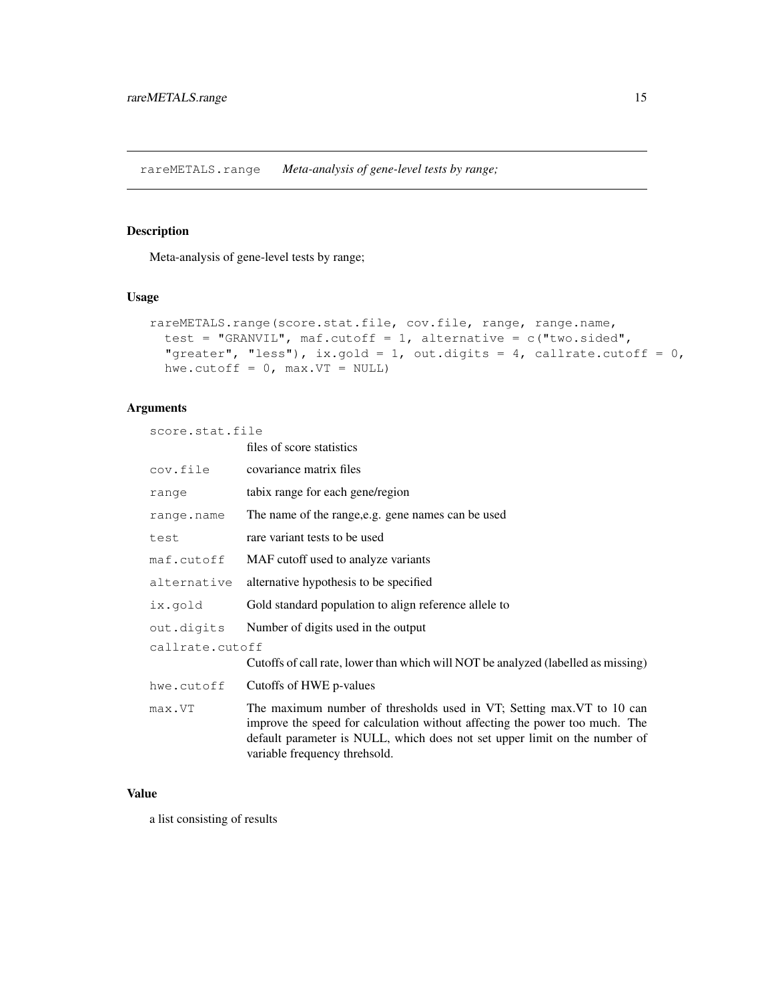<span id="page-14-0"></span>rareMETALS.range *Meta-analysis of gene-level tests by range;*

#### Description

Meta-analysis of gene-level tests by range;

#### Usage

```
rareMETALS.range(score.stat.file, cov.file, range, range.name,
 test = "GRANVIL", maf.cutoff = 1, alternative = c("two.sided","greater", "less"), ix.gold = 1, out.digits = 4, callrate.cutoff = 0,
 hwe.cutoff = 0, max.VT = NULL)
```
## Arguments

score.stat.file

|                 | files of score statistics                                                                                                                                                                                                                                            |  |
|-----------------|----------------------------------------------------------------------------------------------------------------------------------------------------------------------------------------------------------------------------------------------------------------------|--|
| cov.file        | covariance matrix files                                                                                                                                                                                                                                              |  |
| range           | tabix range for each gene/region                                                                                                                                                                                                                                     |  |
| range.name      | The name of the range, e.g. gene names can be used                                                                                                                                                                                                                   |  |
| test            | rare variant tests to be used                                                                                                                                                                                                                                        |  |
| maf.cutoff      | MAF cutoff used to analyze variants                                                                                                                                                                                                                                  |  |
| alternative     | alternative hypothesis to be specified.                                                                                                                                                                                                                              |  |
| ix.qold         | Gold standard population to align reference allele to                                                                                                                                                                                                                |  |
| out.digits      | Number of digits used in the output                                                                                                                                                                                                                                  |  |
| callrate.cutoff |                                                                                                                                                                                                                                                                      |  |
|                 | Cutoffs of call rate, lower than which will NOT be analyzed (labelled as missing)                                                                                                                                                                                    |  |
| hwe.cutoff      | Cutoffs of HWE p-values                                                                                                                                                                                                                                              |  |
| max.VT          | The maximum number of thresholds used in VT; Setting max. VT to 10 can<br>improve the speed for calculation without affecting the power too much. The<br>default parameter is NULL, which does not set upper limit on the number of<br>variable frequency threhsold. |  |

## Value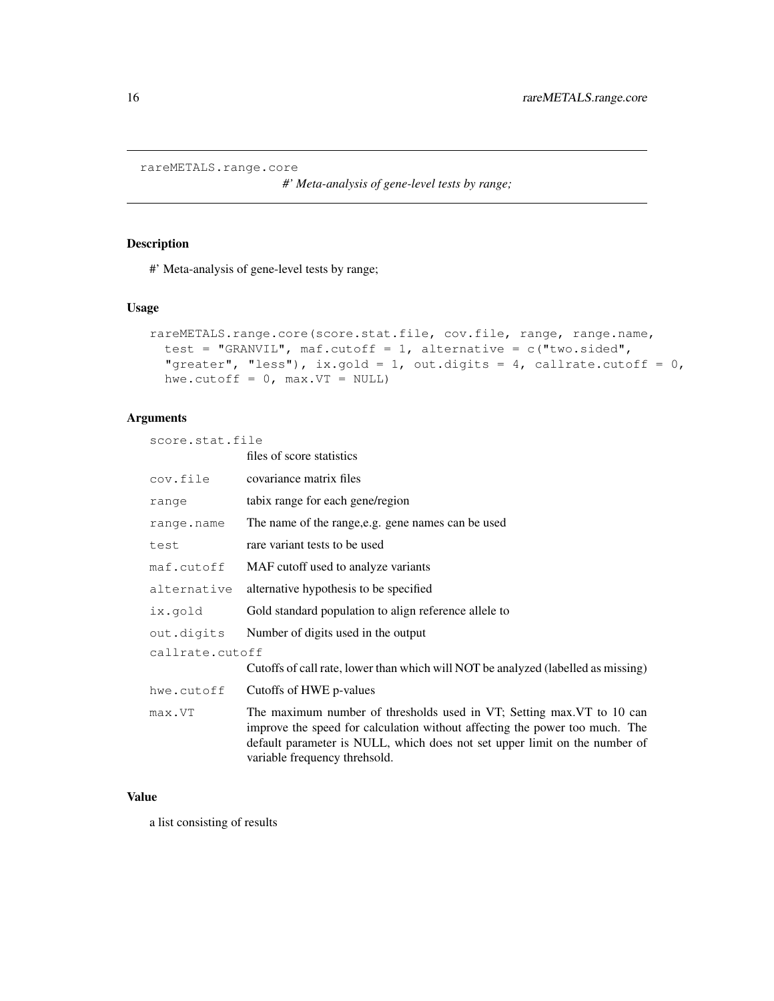```
rareMETALS.range.core
```
*#' Meta-analysis of gene-level tests by range;*

#### Description

#' Meta-analysis of gene-level tests by range;

#### Usage

```
rareMETALS.range.core(score.stat.file, cov.file, range, range.name,
  test = "GRANVIL", maf.cutoff = 1, alternative = c("two(sided","greater", "less"), ix.gold = 1, out.digits = 4, callrate.cutoff = 0,
 hwe.cutoff = 0, max.VT = NULL)
```
## Arguments

score.stat.file

|                 | files of score statistics                                                                                                                                                                                                                                           |  |
|-----------------|---------------------------------------------------------------------------------------------------------------------------------------------------------------------------------------------------------------------------------------------------------------------|--|
| cov.file        | covariance matrix files                                                                                                                                                                                                                                             |  |
| range           | tabix range for each gene/region                                                                                                                                                                                                                                    |  |
| range.name      | The name of the range, e.g. gene names can be used                                                                                                                                                                                                                  |  |
| test            | rare variant tests to be used                                                                                                                                                                                                                                       |  |
| maf.cutoff      | MAF cutoff used to analyze variants                                                                                                                                                                                                                                 |  |
| alternative     | alternative hypothesis to be specified                                                                                                                                                                                                                              |  |
| ix.qold         | Gold standard population to align reference allele to                                                                                                                                                                                                               |  |
| out.digits      | Number of digits used in the output                                                                                                                                                                                                                                 |  |
| callrate.cutoff |                                                                                                                                                                                                                                                                     |  |
|                 | Cutoffs of call rate, lower than which will NOT be analyzed (labelled as missing)                                                                                                                                                                                   |  |
| hwe.cutoff      | Cutoffs of HWE p-values                                                                                                                                                                                                                                             |  |
| max.VT          | The maximum number of thresholds used in VT; Setting max VT to 10 can<br>improve the speed for calculation without affecting the power too much. The<br>default parameter is NULL, which does not set upper limit on the number of<br>variable frequency threhsold. |  |

#### Value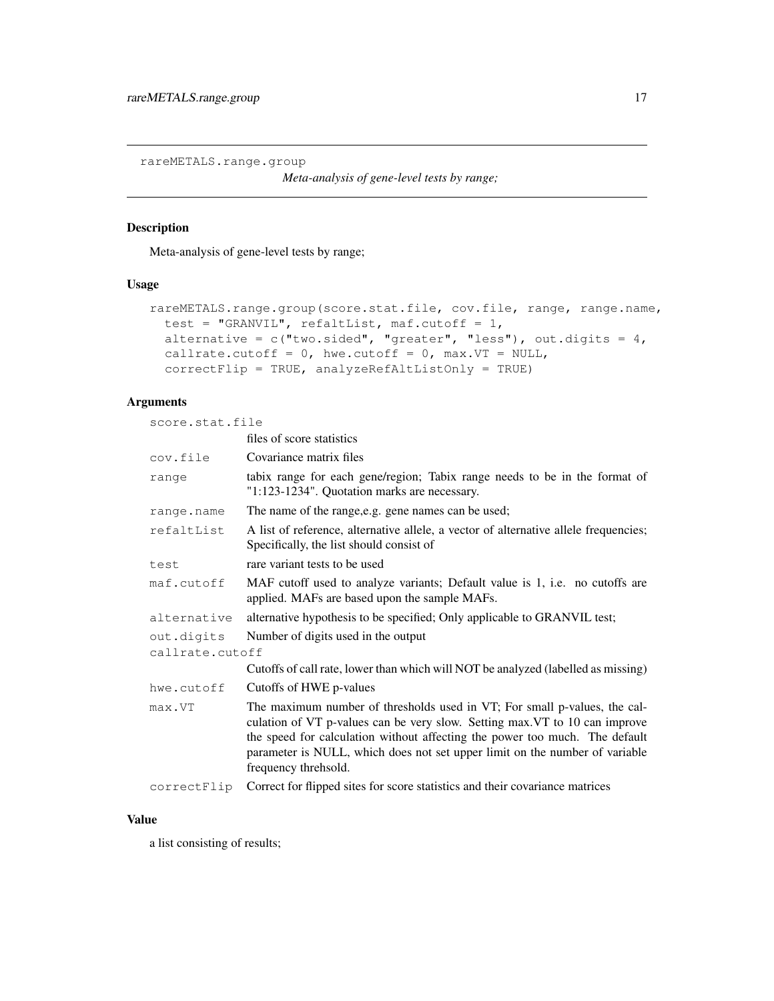<span id="page-16-0"></span>rareMETALS.range.group

*Meta-analysis of gene-level tests by range;*

## Description

Meta-analysis of gene-level tests by range;

#### Usage

```
rareMETALS.range.group(score.stat.file, cov.file, range, range.name,
  test = "GRANVIL", refaltList, maf.cutoff = 1,
  alternative = c("two-sided", "greater", "less"), out.digits = 4,callrate.cutoff = 0, hwe.cutoff = 0, max.VT = NULL,
  correctFlip = TRUE, analyzeRefAltListOnly = TRUE)
```
#### Arguments

score.stat.file

|                 | files of score statistics                                                                                                                                                                                                                                                                                                                      |  |
|-----------------|------------------------------------------------------------------------------------------------------------------------------------------------------------------------------------------------------------------------------------------------------------------------------------------------------------------------------------------------|--|
| cov.file        | Covariance matrix files                                                                                                                                                                                                                                                                                                                        |  |
| range           | tabix range for each gene/region; Tabix range needs to be in the format of<br>"1:123-1234". Quotation marks are necessary.                                                                                                                                                                                                                     |  |
| range.name      | The name of the range, e.g. gene names can be used;                                                                                                                                                                                                                                                                                            |  |
| refaltList      | A list of reference, alternative allele, a vector of alternative allele frequencies;<br>Specifically, the list should consist of                                                                                                                                                                                                               |  |
| test            | rare variant tests to be used                                                                                                                                                                                                                                                                                                                  |  |
| maf.cutoff      | MAF cutoff used to analyze variants; Default value is 1, i.e. no cutoffs are<br>applied. MAFs are based upon the sample MAFs.                                                                                                                                                                                                                  |  |
| alternative     | alternative hypothesis to be specified; Only applicable to GRANVIL test;                                                                                                                                                                                                                                                                       |  |
| out.digits      | Number of digits used in the output                                                                                                                                                                                                                                                                                                            |  |
| callrate.cutoff |                                                                                                                                                                                                                                                                                                                                                |  |
|                 | Cutoffs of call rate, lower than which will NOT be analyzed (labelled as missing)                                                                                                                                                                                                                                                              |  |
| hwe.cutoff      | Cutoffs of HWE p-values                                                                                                                                                                                                                                                                                                                        |  |
| max.VT          | The maximum number of thresholds used in VT; For small p-values, the cal-<br>culation of VT p-values can be very slow. Setting max. VT to 10 can improve<br>the speed for calculation without affecting the power too much. The default<br>parameter is NULL, which does not set upper limit on the number of variable<br>frequency threhsold. |  |
| correctFlip     | Correct for flipped sites for score statistics and their covariance matrices                                                                                                                                                                                                                                                                   |  |

## Value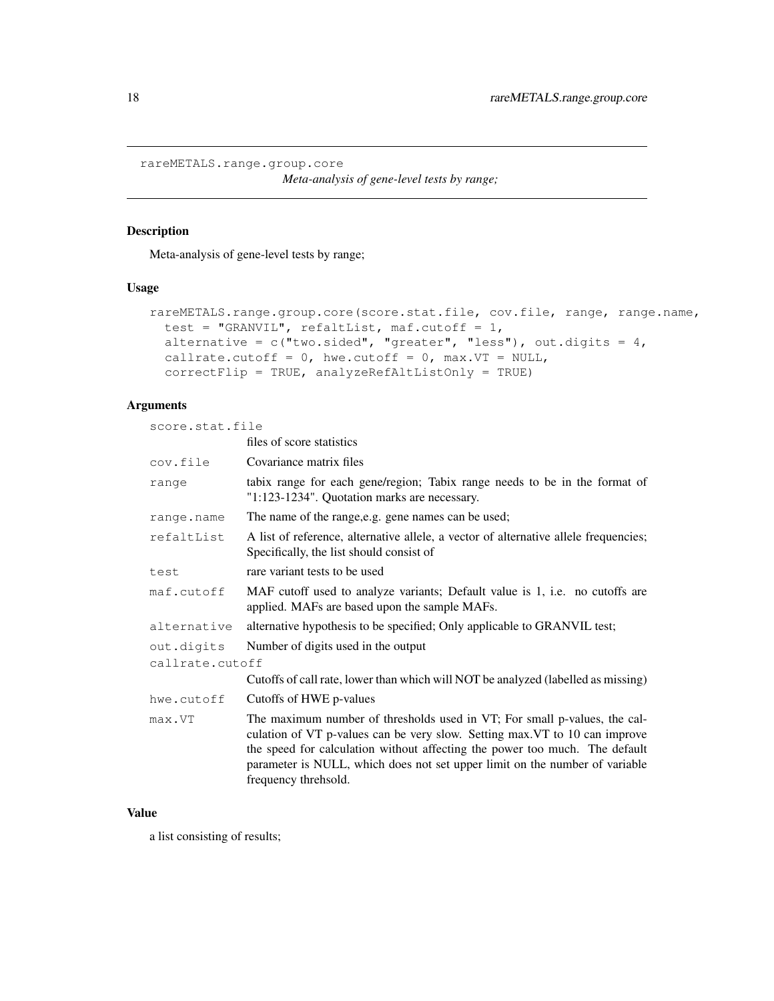<span id="page-17-0"></span>rareMETALS.range.group.core

*Meta-analysis of gene-level tests by range;*

#### Description

Meta-analysis of gene-level tests by range;

#### Usage

```
rareMETALS.range.group.core(score.stat.file, cov.file, range, range.name,
 test = "GRANVIL", refaltList, maf.cutoff = 1,
 alternative = c("two-sided", "greater", "less"), out.digits = 4,callrate.cutoff = 0, hwe.cutoff = 0, max.VT = NULL,
  correctFlip = TRUE, analyzeRefAltListOnly = TRUE)
```
## Arguments

score.stat.file

|                 | files of score statistics                                                                                                                                                                                                                                                                                                                      |  |
|-----------------|------------------------------------------------------------------------------------------------------------------------------------------------------------------------------------------------------------------------------------------------------------------------------------------------------------------------------------------------|--|
| cov.file        | Covariance matrix files                                                                                                                                                                                                                                                                                                                        |  |
| range           | tabix range for each gene/region; Tabix range needs to be in the format of<br>"1:123-1234". Quotation marks are necessary.                                                                                                                                                                                                                     |  |
| range.name      | The name of the range, e.g. gene names can be used;                                                                                                                                                                                                                                                                                            |  |
| refaltList      | A list of reference, alternative allele, a vector of alternative allele frequencies;<br>Specifically, the list should consist of                                                                                                                                                                                                               |  |
| test            | rare variant tests to be used                                                                                                                                                                                                                                                                                                                  |  |
| maf.cutoff      | MAF cutoff used to analyze variants; Default value is 1, i.e. no cutoffs are<br>applied. MAFs are based upon the sample MAFs.                                                                                                                                                                                                                  |  |
| alternative     | alternative hypothesis to be specified; Only applicable to GRANVIL test;                                                                                                                                                                                                                                                                       |  |
| out.diqits      | Number of digits used in the output                                                                                                                                                                                                                                                                                                            |  |
| callrate.cutoff |                                                                                                                                                                                                                                                                                                                                                |  |
|                 | Cutoffs of call rate, lower than which will NOT be analyzed (labelled as missing)                                                                                                                                                                                                                                                              |  |
| hwe.cutoff      | Cutoffs of HWE p-values                                                                                                                                                                                                                                                                                                                        |  |
| max.VT          | The maximum number of thresholds used in VT; For small p-values, the cal-<br>culation of VT p-values can be very slow. Setting max. VT to 10 can improve<br>the speed for calculation without affecting the power too much. The default<br>parameter is NULL, which does not set upper limit on the number of variable<br>frequency threhsold. |  |

## Value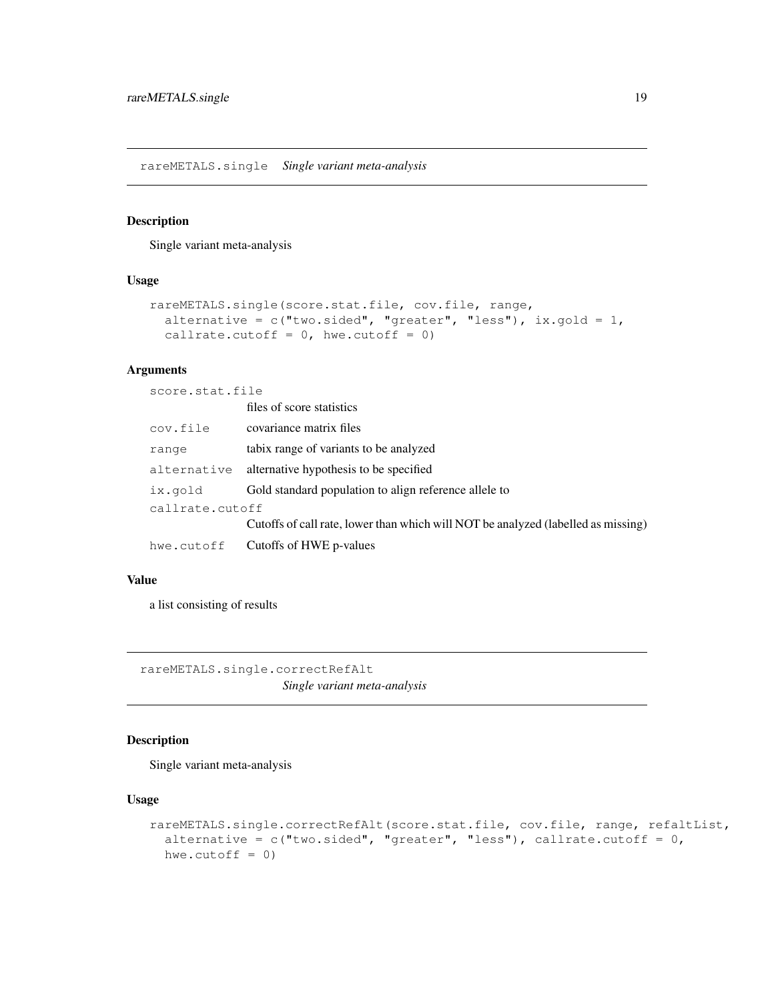<span id="page-18-0"></span>rareMETALS.single *Single variant meta-analysis*

#### Description

Single variant meta-analysis

## Usage

```
rareMETALS.single(score.stat.file, cov.file, range,
 alternative = c("two-sided", "greater", "less"), ix.gold = 1,callrate.cutoff = 0, hwe.cutoff = 0)
```
#### Arguments

score.stat.file

|                 | files of score statistics                                                         |  |
|-----------------|-----------------------------------------------------------------------------------|--|
| cov.file        | covariance matrix files                                                           |  |
| range           | tabix range of variants to be analyzed                                            |  |
| alternative     | alternative hypothesis to be specified                                            |  |
| ix.gold         | Gold standard population to align reference allele to                             |  |
| callrate.cutoff |                                                                                   |  |
|                 | Cutoffs of call rate, lower than which will NOT be analyzed (labelled as missing) |  |
| hwe.cutoff      | Cutoffs of HWE p-values                                                           |  |
|                 |                                                                                   |  |

#### Value

a list consisting of results

rareMETALS.single.correctRefAlt *Single variant meta-analysis*

#### Description

Single variant meta-analysis

#### Usage

```
rareMETALS.single.correctRefAlt(score.stat.file, cov.file, range, refaltList,
  alternative = c("two-sided", "greater", "less"), callrate.cutoff = 0,hwe.cutoff = 0)
```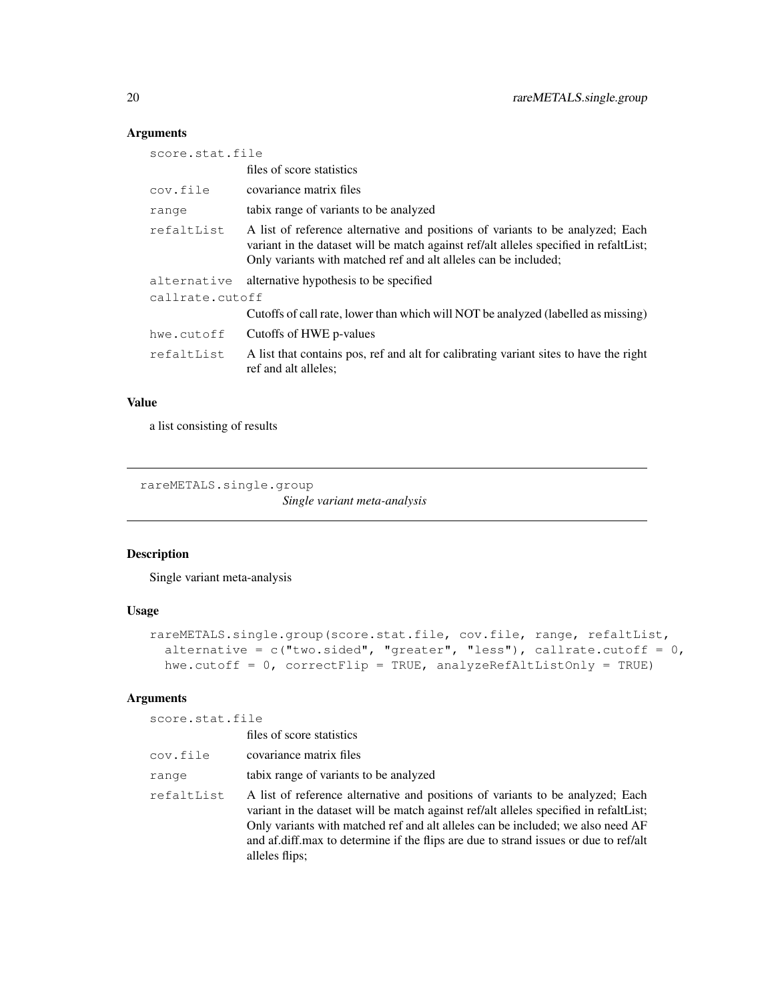## Arguments

| score.stat.file |                                                                                                                                                                                                                                            |  |
|-----------------|--------------------------------------------------------------------------------------------------------------------------------------------------------------------------------------------------------------------------------------------|--|
|                 | files of score statistics                                                                                                                                                                                                                  |  |
| cov.file        | covariance matrix files                                                                                                                                                                                                                    |  |
| range           | tabix range of variants to be analyzed                                                                                                                                                                                                     |  |
| refaltList      | A list of reference alternative and positions of variants to be analyzed; Each<br>variant in the dataset will be match against ref/alt alleles specified in refaltList;<br>Only variants with matched ref and alt alleles can be included; |  |
| alternative     | alternative hypothesis to be specified                                                                                                                                                                                                     |  |
| callrate.cutoff |                                                                                                                                                                                                                                            |  |
|                 | Cutoffs of call rate, lower than which will NOT be analyzed (labelled as missing)                                                                                                                                                          |  |
| hwe.cutoff      | Cutoffs of HWE p-values                                                                                                                                                                                                                    |  |
| refaltList      | A list that contains pos, ref and alt for calibrating variant sites to have the right<br>ref and alt alleles;                                                                                                                              |  |

#### Value

a list consisting of results

rareMETALS.single.group

*Single variant meta-analysis*

## Description

Single variant meta-analysis

## Usage

```
rareMETALS.single.group(score.stat.file, cov.file, range, refaltList,
  alternative = c("two-sided", "greater", "less"), callrate.cutoff = 0,hwe.cutoff = 0, correctFlip = TRUE, analyzeRefAltListOnly = TRUE)
```
## Arguments

score.stat.file

|            | files of score statistics                                                                                                                                                                                                                                                                                                                                            |  |
|------------|----------------------------------------------------------------------------------------------------------------------------------------------------------------------------------------------------------------------------------------------------------------------------------------------------------------------------------------------------------------------|--|
| cov.file   | covariance matrix files                                                                                                                                                                                                                                                                                                                                              |  |
| range      | tabix range of variants to be analyzed                                                                                                                                                                                                                                                                                                                               |  |
| refaltList | A list of reference alternative and positions of variants to be analyzed; Each<br>variant in the dataset will be match against ref/alt alleles specified in refaltList;<br>Only variants with matched ref and alt alleles can be included; we also need AF<br>and af.diff.max to determine if the flips are due to strand issues or due to ref/alt<br>alleles flips; |  |

<span id="page-19-0"></span>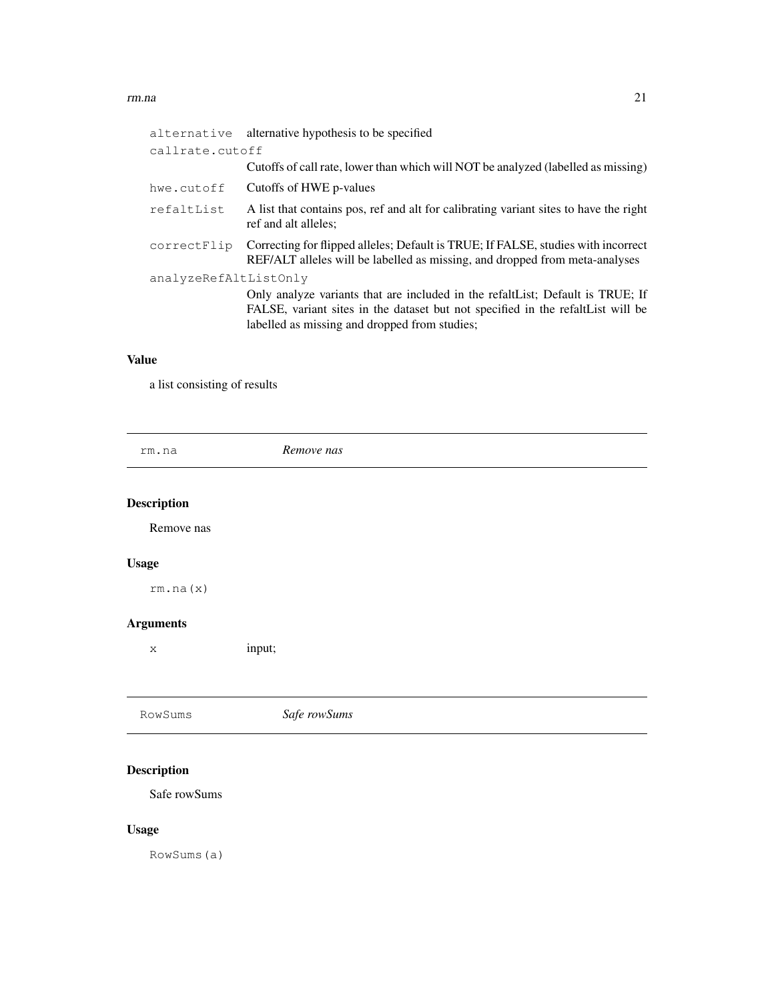#### <span id="page-20-0"></span>rm.na 21

| alternative           | alternative hypothesis to be specified                                                                                                                           |  |
|-----------------------|------------------------------------------------------------------------------------------------------------------------------------------------------------------|--|
| callrate.cutoff       |                                                                                                                                                                  |  |
|                       | Cutoffs of call rate, lower than which will NOT be analyzed (labelled as missing)                                                                                |  |
| hwe.cutoff            | Cutoffs of HWE p-values                                                                                                                                          |  |
| refaltList            | A list that contains pos, ref and alt for calibrating variant sites to have the right<br>ref and alt alleles:                                                    |  |
| correctFlip           | Correcting for flipped alleles; Default is TRUE; If FALSE, studies with incorrect<br>REF/ALT alleles will be labelled as missing, and dropped from meta-analyses |  |
| analyzeRefAltListOnly |                                                                                                                                                                  |  |
|                       | Only analyze variants that are included in the refalt List; Default is TRUE; If                                                                                  |  |
|                       | FALSE, variant sites in the dataset but not specified in the refalt List will be                                                                                 |  |
|                       | labelled as missing and dropped from studies;                                                                                                                    |  |
|                       |                                                                                                                                                                  |  |

## Value

a list consisting of results

rm.na *Remove nas* Description Remove nas Usage rm.na(x) Arguments x input; RowSums *Safe rowSums*

# Description

Safe rowSums

# Usage

RowSums(a)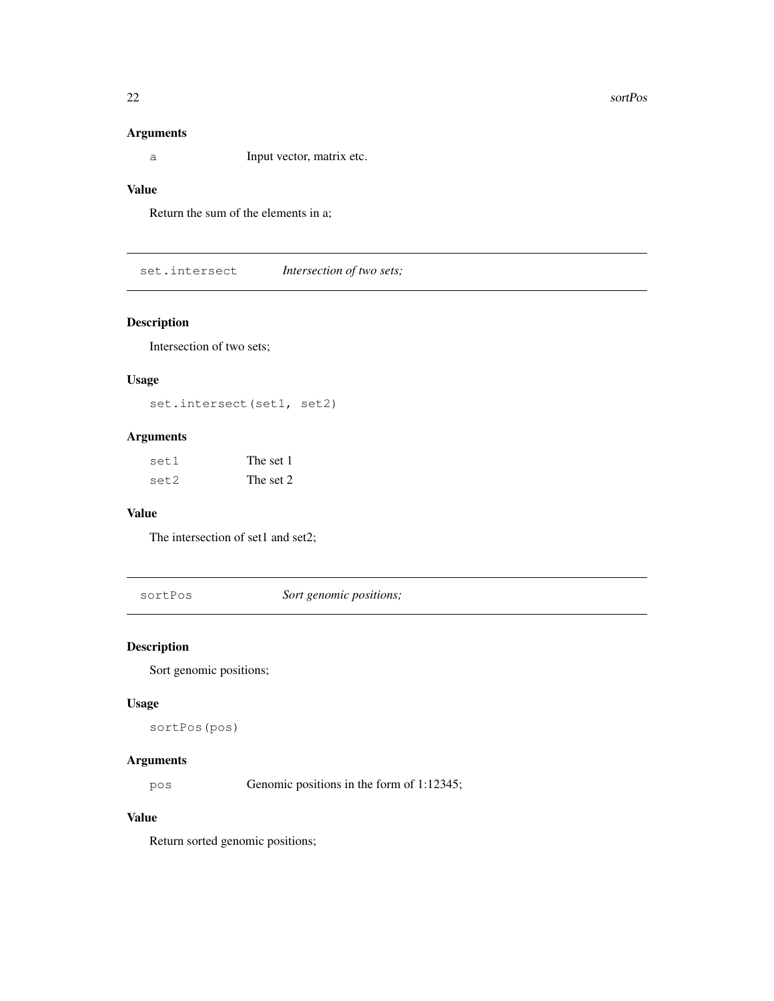#### <span id="page-21-0"></span>Arguments

a Input vector, matrix etc.

## Value

Return the sum of the elements in a;

set.intersect *Intersection of two sets;*

## Description

Intersection of two sets;

## Usage

set.intersect(set1, set2)

## Arguments

| set1 | The set 1 |
|------|-----------|
| set2 | The set 2 |

#### Value

The intersection of set1 and set2;

sortPos *Sort genomic positions;*

## Description

Sort genomic positions;

#### Usage

sortPos(pos)

## Arguments

pos Genomic positions in the form of 1:12345;

### Value

Return sorted genomic positions;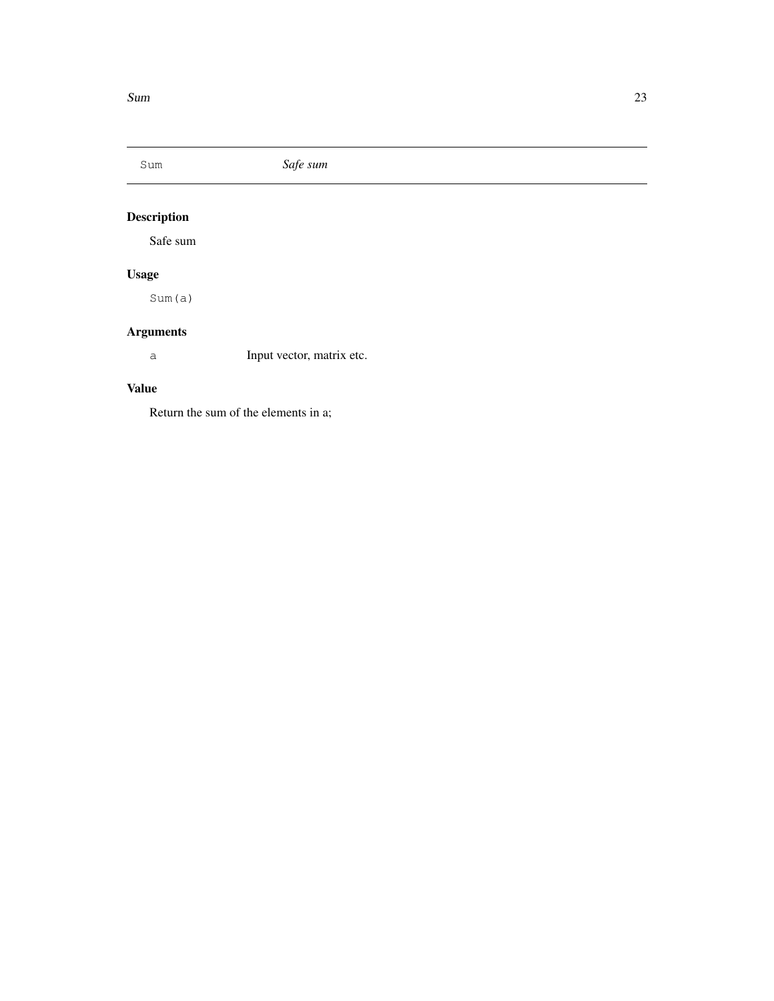<span id="page-22-0"></span>

# Description

Safe sum

# Usage

Sum(a)

# Arguments

a Input vector, matrix etc.

## Value

Return the sum of the elements in a;